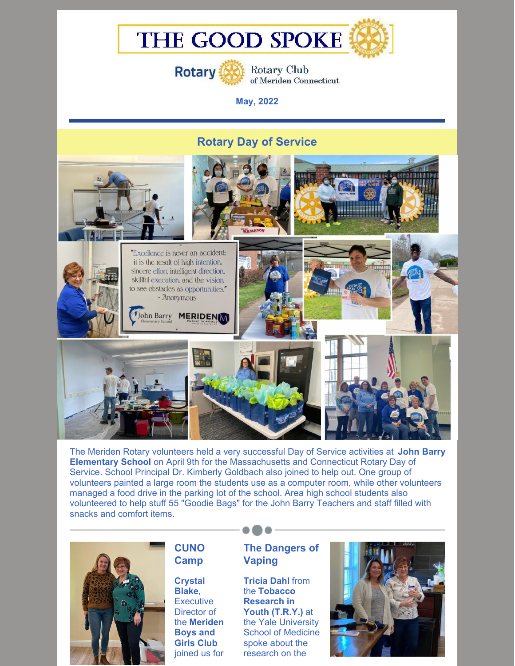# THE GOOD SPOKE



**Rotary Club** of Meriden Connecticut

**May, 2022**

# **Rotary Day of Service**



The Meriden Rotary volunteers held a very successful Day of Service activities at **John Barry Elementary School** on April 9th for the Massachusetts and Connecticut Rotary Day of Service. School Principal Dr. Kimberly Goldbach also joined to help out. One group of volunteers painted a large room the students use as a computer room, while other volunteers managed a food drive in the parking lot of the school. Area high school students also volunteered to help stuff 55 "Goodie Bags" for the John Barry Teachers and staff filled with snacks and comfort items.



# **CUNO Camp**

**Crystal Blake**, **Executive** Director of the **Meriden Boys and Girls Club** joined us for

## **The Dangers of Vaping**

**Tricia Dahl** from the **Tobacco Research in Youth (T.R.Y.)** at the Yale University School of Medicine spoke about the research on the

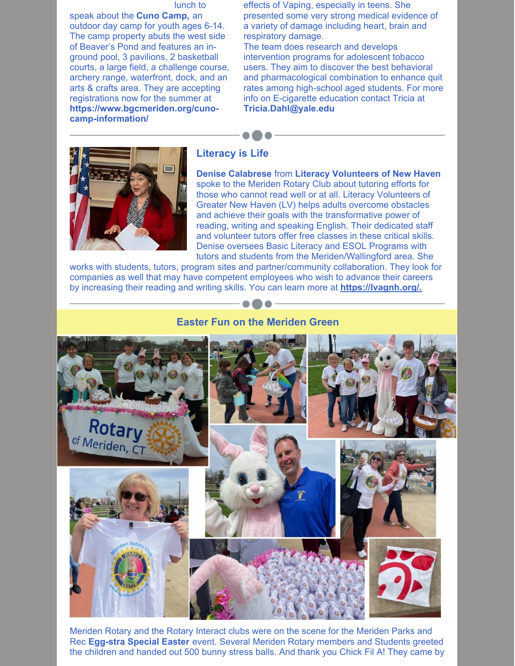#### lunch to

speak about the **Cuno Camp,** an outdoor day camp for youth ages 6-14. The camp property abuts the west side of Beaver's Pond and features an inground pool, 3 pavilions, 2 basketball courts, a large field, a challenge course, archery range, waterfront, dock, and an arts & crafts area. They are accepting registrations now for the summer at **https://www.bgcmeriden.org/cunocamp-information/**

effects of Vaping, especially in teens. She presented some very strong medical evidence of a variety of damage including heart, brain and respiratory damage.

The team does research and develops intervention programs for adolescent tobacco users. They aim to discover the best behavioral and pharmacological combination to enhance quit rates among high-school aged students. For more info on E-cigarette education contact Tricia at **Tricia.Dahl@yale.edu**



#### **Literacy is Life**

**Denise Calabrese** from **Literacy Volunteers of New Haven** spoke to the Meriden Rotary Club about tutoring efforts for those who cannot read well or at all. Literacy Volunteers of Greater New Haven (LV) helps adults overcome obstacles and achieve their goals with the transformative power of reading, writing and speaking English. Their dedicated staff and volunteer tutors offer free classes in these critical skills. Denise oversees Basic Literacy and ESOL Programs with tutors and students from the Meriden/Wallingford area. She

works with students, tutors, program sites and partner/community collaboration. They look for companies as well that may have competent employees who wish to advance their careers by increasing their reading and writing skills. You can learn more at **[https://lvagnh.org/.](https://lvagnh.org/)**

#### **Easter Fun on the Meriden Green**



Meriden Rotary and the Rotary Interact clubs were on the scene for the Meriden Parks and Rec **Egg-stra Special Easter** event. Several Meriden Rotary members and Students greeted the children and handed out 500 bunny stress balls. And thank you Chick Fil A! They came by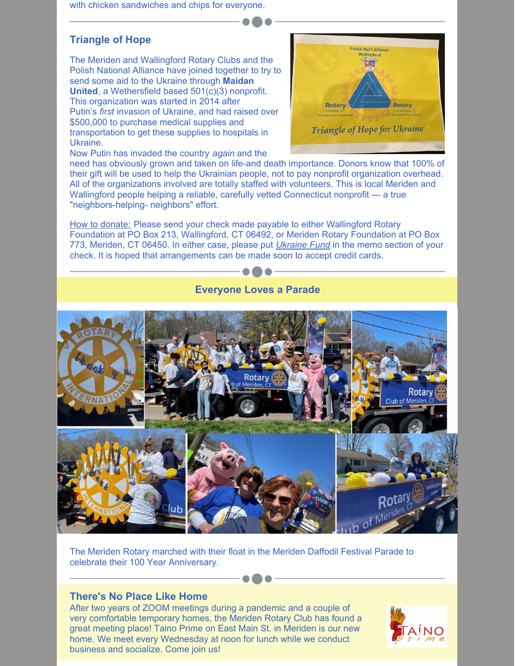with chicken sandwiches and chips for everyone.

# **Triangle of Hope**

The Meriden and Wallingford Rotary Clubs and the Polish National Alliance have joined together to try to send some aid to the Ukraine through **Maidan United**, a Wethersfield based 501(c)(3) nonprofit. This organization was started in 2014 after Putin's *first* invasion of Ukraine, and had raised over \$500,000 to purchase medical supplies and transportation to get these supplies to hospitals in Ukraine.



Now Putin has invaded the country *again* and the

need has obviously grown and taken on life-and death importance. Donors know that 100% of their gift will be used to help the Ukrainian people, not to pay nonprofit organization overhead. All of the organizations involved are totally staffed with volunteers. This is local Meriden and Wallingford people helping a reliable, carefully vetted Connecticut nonprofit — a true "neighbors-helping- neighbors" effort.

How to donate: Please send your check made payable to either Wallingford Rotary Foundation at PO Box 213, Wallingford, CT 06492, or Meriden Rotary Foundation at PO Box 773, Meriden, CT 06450. In either case, please put *Ukraine Fund* in the memo section of your check. It is hoped that arrangements can be made soon to accept credit cards.



The Meriden Rotary marched with their float in the Meriden Daffodil Festival Parade to celebrate their 100 Year Anniversary.

#### **There's No Place Like Home**

After two years of ZOOM meetings during a pandemic and a couple of very comfortable temporary homes, the Meriden Rotary Club has found a great meeting place! Taino Prime on East Main St. in Meriden is our new home. We meet every Wednesday at noon for lunch while we conduct business and socialize. Come join us!